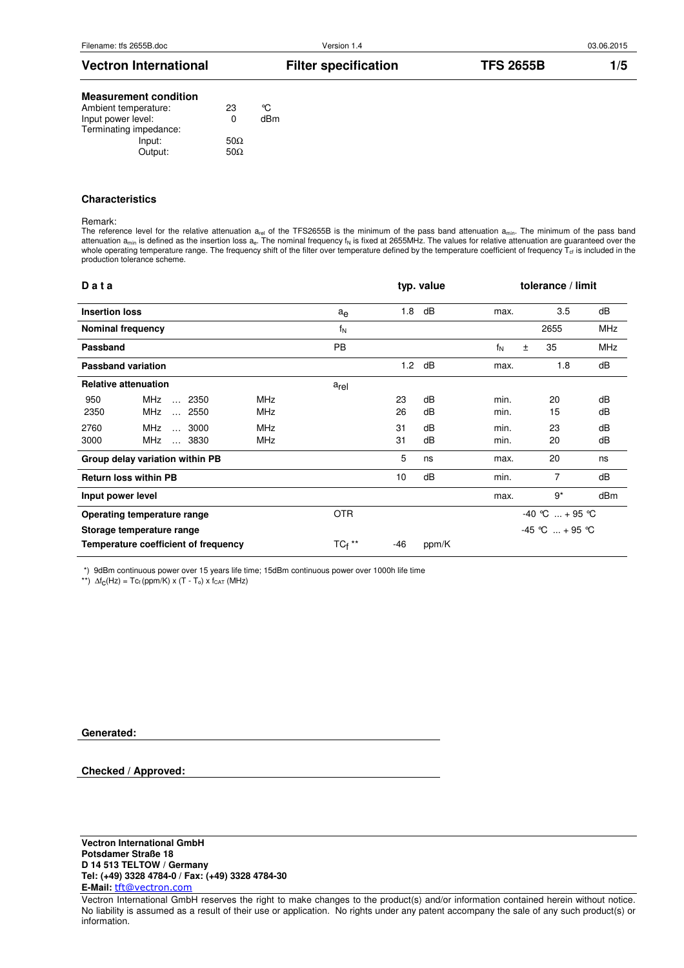| <b>Vectron International</b> | <b>Filter specification</b> | <b>TFS 2655B</b> | /5 |
|------------------------------|-----------------------------|------------------|----|
|                              |                             |                  |    |

## **Measurement condition**

| Ambient temperature:   | 23          | ∽   |
|------------------------|-------------|-----|
| Input power level:     | 0           | dBm |
| Terminating impedance: |             |     |
| Input:                 | 50 $\Omega$ |     |
| Output:                | 50.0        |     |

#### **Characteristics**

#### Remark:

The reference level for the relative attenuation a<sub>rel</sub> of the TFS2655B is the minimum of the pass band attenuation a<sub>min</sub>. The minimum of the pass band attenuation a<sub>min</sub> is defined as the insertion loss  $a_e$ . The nominal frequency  $f_N$  is fixed at 2655MHz. The values for relative attenuation are guaranteed over the whole operating temperature range. The frequency shift of the filter over temperature defined by the temperature coefficient of frequency  $T_{cf}$  is included in the production tolerance scheme.

| Data                     |                                      |            |                  |     | typ. value |                     | tolerance / limit |            |
|--------------------------|--------------------------------------|------------|------------------|-----|------------|---------------------|-------------------|------------|
| <b>Insertion loss</b>    |                                      |            | $a_e$            | 1.8 | dB         | max.                | 3.5               | dB         |
| <b>Nominal frequency</b> |                                      |            | $f_N$            |     |            |                     | 2655              | <b>MHz</b> |
| Passband                 |                                      |            | PB               |     |            | $f_N$<br>±          | 35                | <b>MHz</b> |
|                          | <b>Passband variation</b>            |            |                  | 1.2 | dB         | max.                | 1.8               | dB         |
|                          | <b>Relative attenuation</b>          |            | a <sub>rel</sub> |     |            |                     |                   |            |
| 950                      | MHz<br>$\ldots$ 2350                 | <b>MHz</b> |                  | 23  | dB         | min.                | 20                | dB         |
| 2350                     | <b>MHz</b><br>$\ldots$ 2550          | MHz        |                  | 26  | dB         | min.                | 15                | dB         |
| 2760                     | <b>MHz</b><br>$\ldots$ 3000          | <b>MHz</b> |                  | 31  | dB         | min.                | 23                | dB         |
| 3000                     | MHz<br>3830                          | <b>MHz</b> |                  | 31  | dB         | min.                | 20                | dB         |
|                          | Group delay variation within PB      |            |                  | 5   | ns         | max.                | 20                | ns         |
|                          | <b>Return loss within PB</b>         |            |                  | 10  | dB         | 7<br>dB<br>min.     |                   |            |
| Input power level        |                                      |            |                  |     |            | max.                | $9*$              | dBm        |
|                          | Operating temperature range          |            | <b>OTR</b>       |     |            | $-40$ °C $ + 95$ °C |                   |            |
|                          | Storage temperature range            |            |                  |     |            | $-45$ °C $ + 95$ °C |                   |            |
|                          | Temperature coefficient of frequency |            | $TC_f$ **        | -46 | ppm/K      |                     |                   |            |

\*) 9dBm continuous power over 15 years life time; 15dBm continuous power over 1000h life time

\*\*)  $\Delta f_C(Hz) = Tc_f(ppm/K) \times (T - T_o) \times f_{CAT} (MHz)$ 

**Generated:**

#### **Checked / Approved:**

#### **Vectron International GmbH Potsdamer Straße 18 D 14 513 TELTOW / Germany Tel: (+49) 3328 4784-0 / Fax: (+49) 3328 4784-30 E-Mail:** tft@vectron.com

Vectron International GmbH reserves the right to make changes to the product(s) and/or information contained herein without notice. No liability is assumed as a result of their use or application. No rights under any patent accompany the sale of any such product(s) or information.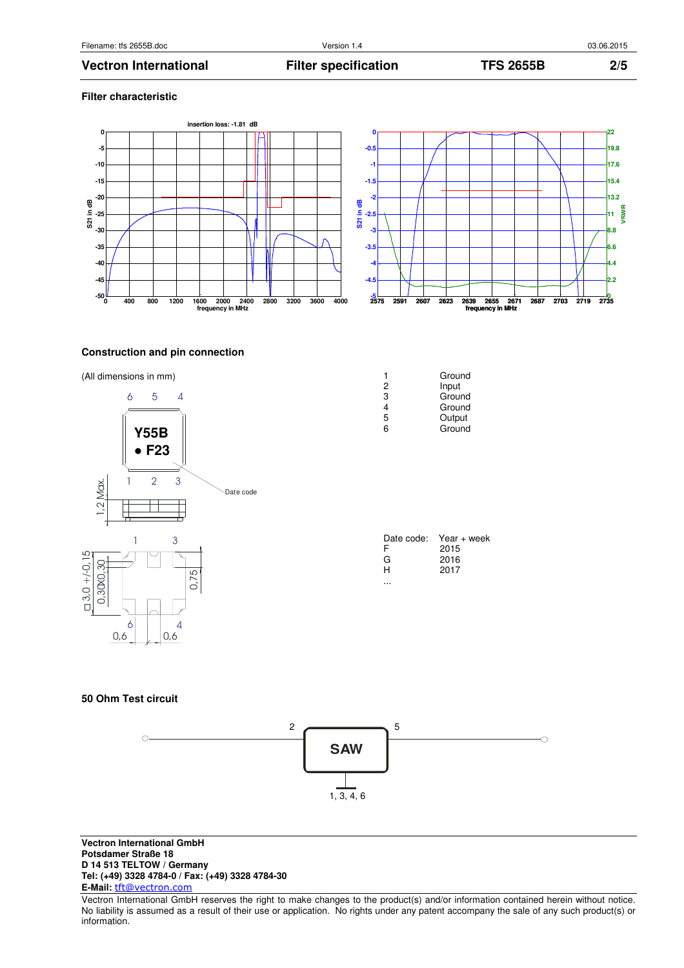**Filter characteristic** 

## **Vectron International Filter specification TFS 2655B 2/5**





## **Construction and pin connection**





| 1 | Ground |
|---|--------|
| 2 | Input  |
| 3 | Ground |
| 4 | Ground |
| 5 | Output |
| 6 | Ground |
|   |        |

| Date code: | $Year + week$ |
|------------|---------------|
| F          | 2015          |
| G          | 2016          |
| н          | 2017          |
|            |               |

## **50 Ohm Test circuit**



**Vectron International GmbH Potsdamer Straße 18 D 14 513 TELTOW / Germany Tel: (+49) 3328 4784-0 / Fax: (+49) 3328 4784-30 E-Mail:** tft@vectron.com

Vectron International GmbH reserves the right to make changes to the product(s) and/or information contained herein without notice. No liability is assumed as a result of their use or application. No rights under any patent accompany the sale of any such product(s) or information.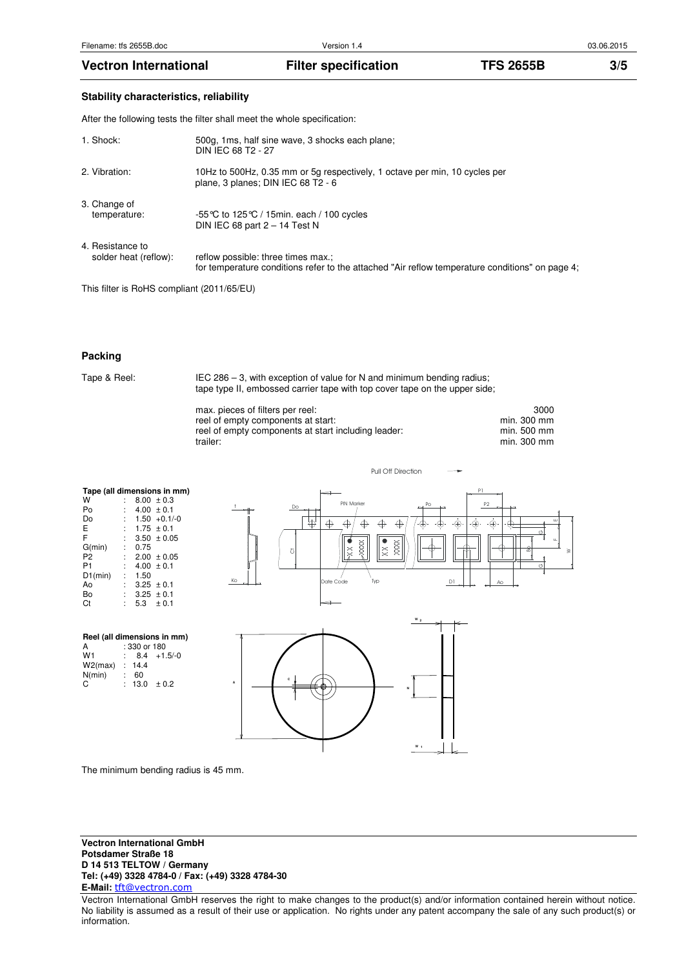## **Stability characteristics, reliability**

After the following tests the filter shall meet the whole specification:

| 1. Shock:     |                                           | 500g, 1ms, half sine wave, 3 shocks each plane;<br>DIN IEC 68 T2 - 27                                                                 |
|---------------|-------------------------------------------|---------------------------------------------------------------------------------------------------------------------------------------|
| 2. Vibration: |                                           | 10Hz to 500Hz, 0.35 mm or 5g respectively, 1 octave per min, 10 cycles per<br>plane, 3 planes; DIN IEC 68 T2 - 6                      |
| 3. Change of  | temperature:                              | -55 °C to 125 °C / 15 min. each / 100 cycles<br>DIN IEC 68 part $2 - 14$ Test N                                                       |
|               | 4. Resistance to<br>solder heat (reflow): | reflow possible: three times max.;<br>for temperature conditions refer to the attached "Air reflow temperature conditions" on page 4; |

This filter is RoHS compliant (2011/65/EU)

#### **Packing**

Tape & Reel: IEC 286 – 3, with exception of value for N and minimum bending radius; tape type II, embossed carrier tape with top cover tape on the upper side;

| max. pieces of filters per reel:                    | 3000        |
|-----------------------------------------------------|-------------|
| reel of empty components at start:                  | min. 300 mm |
| reel of empty components at start including leader: | min. 500 mm |
| trailer:                                            | min. 300 mm |

#### **Tape (all dimensions in mm)**

| W              |   |      | $8.00 \pm 0.3$  |
|----------------|---|------|-----------------|
| Po             |   |      | $4.00 \pm 0.1$  |
| Do             |   |      | $1.50 + 0.1/-0$ |
| E              | ÷ |      | $1.75 \pm 0.1$  |
| F              | ÷ |      | $3.50 \pm 0.05$ |
| G(min)         | ÷ | 0.75 |                 |
| P2             | ÷ |      | $2.00 \pm 0.05$ |
| P <sub>1</sub> | ÷ |      | $4.00 \pm 0.1$  |
| $D1$ (min)     |   | 1.50 |                 |
| Ao             | ۰ |      | $3.25 \pm 0.1$  |
| Bo             |   |      | $3.25 \pm 0.1$  |
| Сt             |   | 5.3  | ± 0.1           |







The minimum bending radius is 45 mm.

**Vectron International GmbH Potsdamer Straße 18 D 14 513 TELTOW / Germany Tel: (+49) 3328 4784-0 / Fax: (+49) 3328 4784-30 E-Mail:** tft@vectron.com

Vectron International GmbH reserves the right to make changes to the product(s) and/or information contained herein without notice. No liability is assumed as a result of their use or application. No rights under any patent accompany the sale of any such product(s) or information.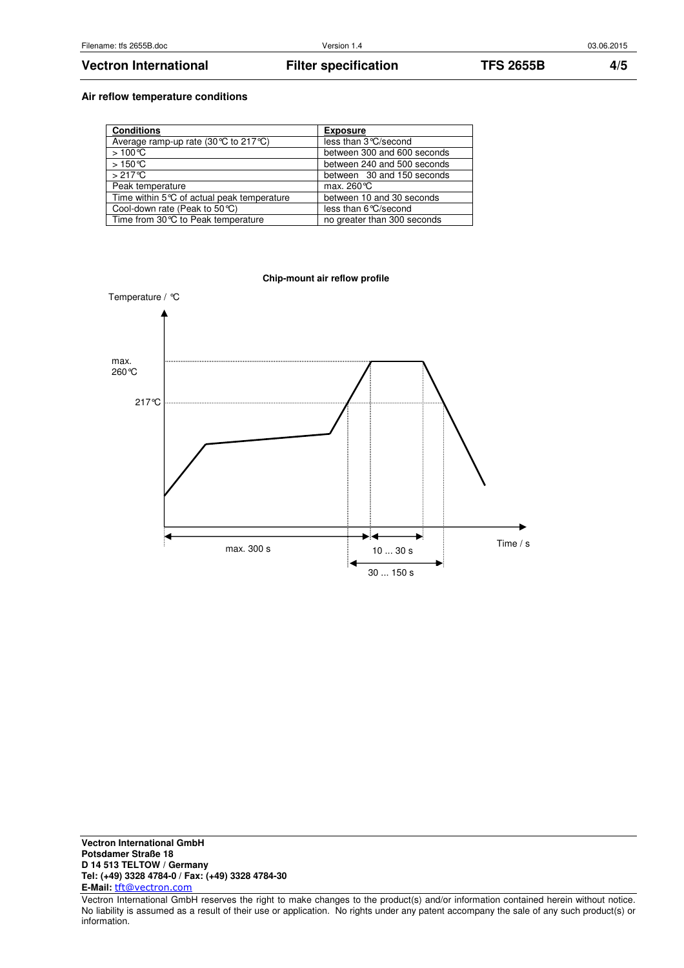## **Vectron International Filter specification TFS 2655B 4/5**

### **Air reflow temperature conditions**

| <b>Conditions</b>                                        | <b>Exposure</b>             |
|----------------------------------------------------------|-----------------------------|
| Average ramp-up rate (30 $\degree$ C to 217 $\degree$ C) | less than 3 °C/second       |
| $>100^{\circ}C$                                          | between 300 and 600 seconds |
| $>150^{\circ}$ C                                         | between 240 and 500 seconds |
| $>217^{\circ}$ C                                         | between 30 and 150 seconds  |
| Peak temperature                                         | max. $260^{\circ}$ C        |
| Time within 5°C of actual peak temperature               | between 10 and 30 seconds   |
| Cool-down rate (Peak to $50^{\circ}$ C)                  | less than 6°C/second        |
| Time from 30℃ to Peak temperature                        | no greater than 300 seconds |



**Vectron International GmbH Potsdamer Straße 18 D 14 513 TELTOW / Germany Tel: (+49) 3328 4784-0 / Fax: (+49) 3328 4784-30 E-Mail:** tft@vectron.com

Vectron International GmbH reserves the right to make changes to the product(s) and/or information contained herein without notice. No liability is assumed as a result of their use or application. No rights under any patent accompany the sale of any such product(s) or information.